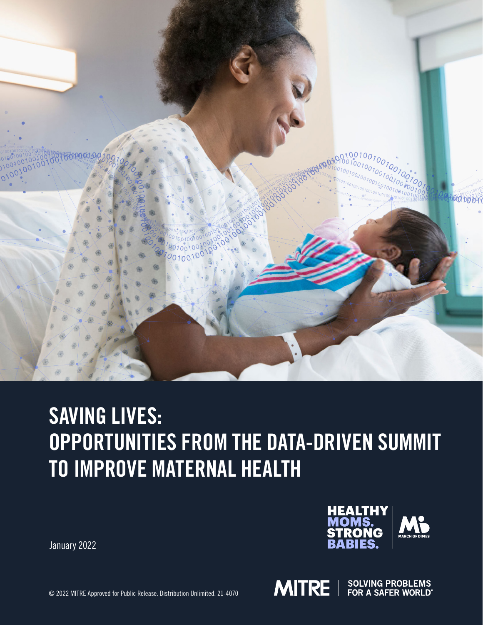

# SAVING LIVES: OPPORTUNITIES FROM THE DATA-DRIVEN SUMMIT TO IMPROVE MATERNAL HEALTH

January 2022



**MITRE** 

© 2022 MITRE Approved for Public Release. Distribution Unlimited. 21-4070

**SOLVING PROBLEMS**<br>FOR A SAFER WORLD®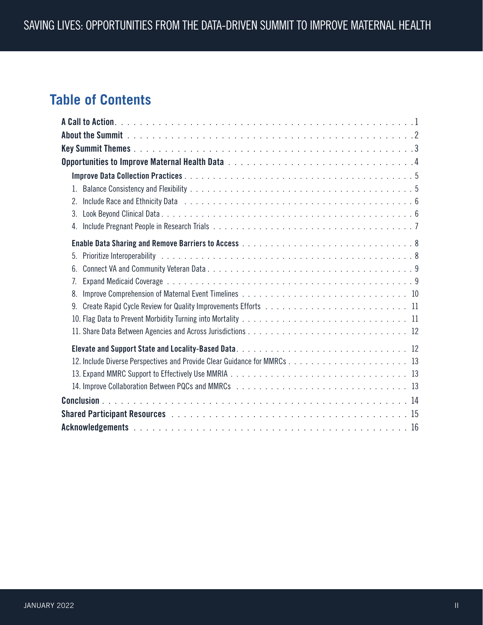# **Table of Contents**

| $1_{-}$                                                                                                                                                                                                                              |  |
|--------------------------------------------------------------------------------------------------------------------------------------------------------------------------------------------------------------------------------------|--|
| Include Race and Ethnicity Data response to contact the contract of the contract of the contract of the contract of the contract of the contract of the contract of the contract of the contract of the contract of the contra<br>2. |  |
| 3 <sub>1</sub>                                                                                                                                                                                                                       |  |
| 4.                                                                                                                                                                                                                                   |  |
|                                                                                                                                                                                                                                      |  |
| 5.                                                                                                                                                                                                                                   |  |
| 6.                                                                                                                                                                                                                                   |  |
| 7.                                                                                                                                                                                                                                   |  |
| 8.                                                                                                                                                                                                                                   |  |
| 9.                                                                                                                                                                                                                                   |  |
|                                                                                                                                                                                                                                      |  |
|                                                                                                                                                                                                                                      |  |
|                                                                                                                                                                                                                                      |  |
|                                                                                                                                                                                                                                      |  |
|                                                                                                                                                                                                                                      |  |
|                                                                                                                                                                                                                                      |  |
|                                                                                                                                                                                                                                      |  |
|                                                                                                                                                                                                                                      |  |
|                                                                                                                                                                                                                                      |  |
|                                                                                                                                                                                                                                      |  |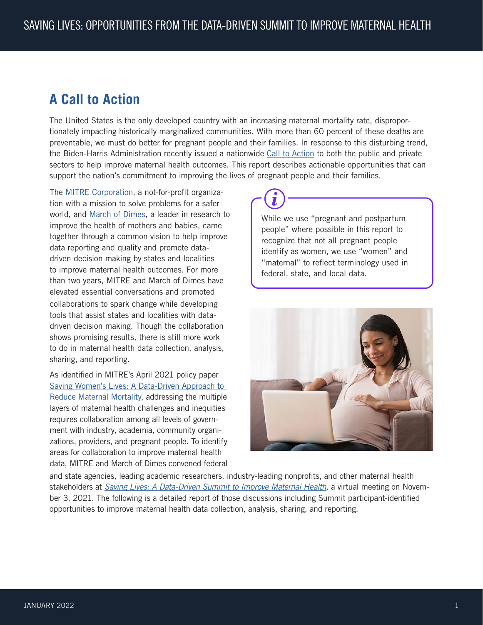# <span id="page-2-0"></span>**A Call to Action**

The United States is the only developed country with an increasing maternal mortality rate, disproportionately impacting historically marginalized communities. With more than 60 percent of these deaths are preventable, we must do better for pregnant people and their families. In response to this disturbing trend, the Biden-Harris Administration recently issued a nationwide [Call to Action](https://www.whitehouse.gov/briefing-room/statements-releases/2021/12/07/fact-sheet-vice-president-kamala-harris-announces-call-to-action-to-reduce-maternal-mortality-and-morbidity/) to both the public and private sectors to help improve maternal health outcomes. This report describes actionable opportunities that can support the nation's commitment to improving the lives of pregnant people and their families.

The [MITRE Corporation](https://www.mitre.org), a not-for-profit organization with a mission to solve problems for a safer world, and [March of Dimes](https://www.marchofdimes.org/), a leader in research to improve the health of mothers and babies, came together through a common vision to help improve data reporting and quality and promote datadriven decision making by states and localities to improve maternal health outcomes. For more than two years, MITRE and March of Dimes have elevated essential conversations and promoted collaborations to spark change while developing tools that assist states and localities with datadriven decision making. Though the collaboration shows promising results, there is still more work to do in maternal health data collection, analysis, sharing, and reporting.

As identified in MITRE's April 2021 policy paper Saving Women's Lives: A Data-Driven Approach to [Reduce Maternal Mortality,](https://www.mitre.org/sites/default/files/publications/pr-21-1148-%20saving-womens-lives-a%20data-driven-approach-to-reduce-maternal%20mortality.pdf) addressing the multiple layers of maternal health challenges and inequities requires collaboration among all levels of government with industry, academia, community organizations, providers, and pregnant people. To identify areas for collaboration to improve maternal health data, MITRE and March of Dimes convened federal

While we use "pregnant and postpartum people" where possible in this report to recognize that not all pregnant people identify as women, we use "women" and "maternal" to reflect terminology used in federal, state, and local data.



and state agencies, leading academic researchers, industry-leading nonprofits, and other maternal health stakeholders at *[Saving Lives: A Data-Driven Summit to Improve Maternal Health](https://na.eventscloud.com/website/31527/maternalhealthsummit/),* a virtual meeting on November 3, 2021. The following is a detailed report of those discussions including Summit participant-identified opportunities to improve maternal health data collection, analysis, sharing, and reporting.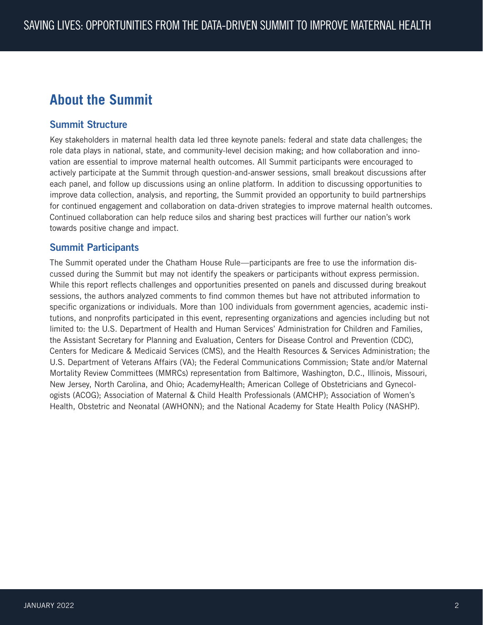# <span id="page-3-0"></span>**About the Summit**

## Summit Structure

Key stakeholders in maternal health data led three keynote panels: federal and state data challenges; the role data plays in national, state, and community-level decision making; and how collaboration and innovation are essential to improve maternal health outcomes. All Summit participants were encouraged to actively participate at the Summit through question-and-answer sessions, small breakout discussions after each panel, and follow up discussions using an online platform. In addition to discussing opportunities to improve data collection, analysis, and reporting, the Summit provided an opportunity to build partnerships for continued engagement and collaboration on data-driven strategies to improve maternal health outcomes. Continued collaboration can help reduce silos and sharing best practices will further our nation's work towards positive change and impact.

## Summit Participants

The Summit operated under the Chatham House Rule—participants are free to use the information discussed during the Summit but may not identify the speakers or participants without express permission. While this report reflects challenges and opportunities presented on panels and discussed during breakout sessions, the authors analyzed comments to find common themes but have not attributed information to specific organizations or individuals. More than 100 individuals from government agencies, academic institutions, and nonprofits participated in this event, representing organizations and agencies including but not limited to: the U.S. Department of Health and Human Services' Administration for Children and Families, the Assistant Secretary for Planning and Evaluation, Centers for Disease Control and Prevention (CDC), Centers for Medicare & Medicaid Services (CMS), and the Health Resources & Services Administration; the U.S. Department of Veterans Affairs (VA); the Federal Communications Commission; State and/or Maternal Mortality Review Committees (MMRCs) representation from Baltimore, Washington, D.C., Illinois, Missouri, New Jersey, North Carolina, and Ohio; AcademyHealth; American College of Obstetricians and Gynecologists (ACOG); Association of Maternal & Child Health Professionals (AMCHP); Association of Women's Health, Obstetric and Neonatal (AWHONN); and the National Academy for State Health Policy (NASHP).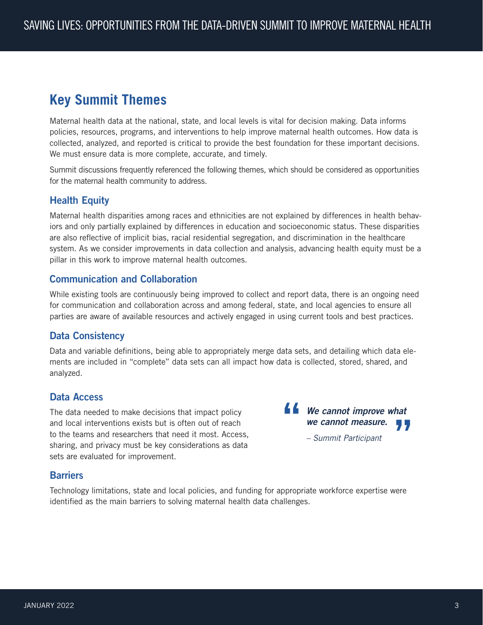# <span id="page-4-0"></span>**Key Summit Themes**

Maternal health data at the national, state, and local levels is vital for decision making. Data informs policies, resources, programs, and interventions to help improve maternal health outcomes. How data is collected, analyzed, and reported is critical to provide the best foundation for these important decisions. We must ensure data is more complete, accurate, and timely.

Summit discussions frequently referenced the following themes, which should be considered as opportunities for the maternal health community to address.

# Health Equity

Maternal health disparities among races and ethnicities are not explained by differences in health behaviors and only partially explained by differences in education and socioeconomic status. These disparities are also reflective of implicit bias, racial residential segregation, and discrimination in the healthcare system. As we consider improvements in data collection and analysis, advancing health equity must be a pillar in this work to improve maternal health outcomes.

# Communication and Collaboration

While existing tools are continuously being improved to collect and report data, there is an ongoing need for communication and collaboration across and among federal, state, and local agencies to ensure all parties are aware of available resources and actively engaged in using current tools and best practices.

### Data Consistency

Data and variable definitions, being able to appropriately merge data sets, and detailing which data elements are included in "complete" data sets can all impact how data is collected, stored, shared, and analyzed.

### Data Access

The data needed to make decisions that impact policy and local interventions exists but is often out of reach to the teams and researchers that need it most. Access, sharing, and privacy must be key considerations as data sets are evaluated for improvement.

**44** We cannot improve what *we cannot measure. – Summit Participant* **"**

### **Barriers**

Technology limitations, state and local policies, and funding for appropriate workforce expertise were identified as the main barriers to solving maternal health data challenges.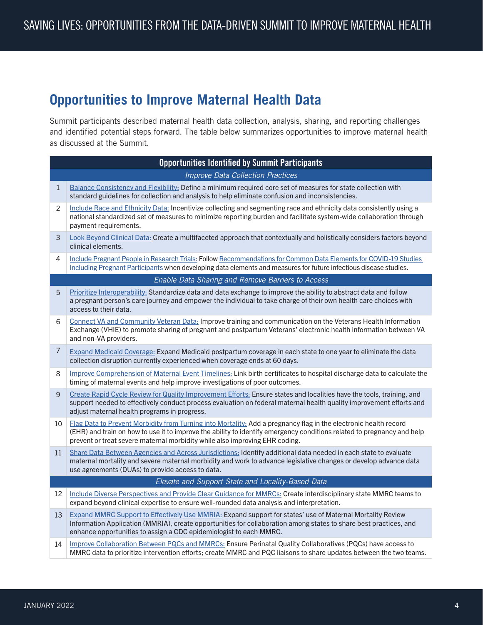# <span id="page-5-0"></span>**Opportunities to Improve Maternal Health Data**

Summit participants described maternal health data collection, analysis, sharing, and reporting challenges and identified potential steps forward. The table below summarizes opportunities to improve maternal health as discussed at the Summit.

| <b>Opportunities Identified by Summit Participants</b> |                                                                                                                                                                                                                                                                                                                           |
|--------------------------------------------------------|---------------------------------------------------------------------------------------------------------------------------------------------------------------------------------------------------------------------------------------------------------------------------------------------------------------------------|
| <b>Improve Data Collection Practices</b>               |                                                                                                                                                                                                                                                                                                                           |
| $\mathbf{1}$                                           | Balance Consistency and Flexibility: Define a minimum required core set of measures for state collection with<br>standard guidelines for collection and analysis to help eliminate confusion and inconsistencies.                                                                                                         |
| 2                                                      | Include Race and Ethnicity Data: Incentivize collecting and segmenting race and ethnicity data consistently using a<br>national standardized set of measures to minimize reporting burden and facilitate system-wide collaboration through<br>payment requirements.                                                       |
| 3                                                      | Look Beyond Clinical Data: Create a multifaceted approach that contextually and holistically considers factors beyond<br>clinical elements.                                                                                                                                                                               |
| 4                                                      | Include Pregnant People in Research Trials: Follow Recommendations for Common Data Elements for COVID-19 Studies<br>Including Pregnant Participants when developing data elements and measures for future infectious disease studies.                                                                                     |
|                                                        | Enable Data Sharing and Remove Barriers to Access                                                                                                                                                                                                                                                                         |
| 5                                                      | Prioritize Interoperability: Standardize data and data exchange to improve the ability to abstract data and follow<br>a pregnant person's care journey and empower the individual to take charge of their own health care choices with<br>access to their data.                                                           |
| 6                                                      | Connect VA and Community Veteran Data: Improve training and communication on the Veterans Health Information<br>Exchange (VHIE) to promote sharing of pregnant and postpartum Veterans' electronic health information between VA<br>and non-VA providers.                                                                 |
| 7                                                      | Expand Medicaid Coverage: Expand Medicaid postpartum coverage in each state to one year to eliminate the data<br>collection disruption currently experienced when coverage ends at 60 days.                                                                                                                               |
| 8                                                      | Improve Comprehension of Maternal Event Timelines: Link birth certificates to hospital discharge data to calculate the<br>timing of maternal events and help improve investigations of poor outcomes.                                                                                                                     |
| 9                                                      | Create Rapid Cycle Review for Quality Improvement Efforts: Ensure states and localities have the tools, training, and<br>support needed to effectively conduct process evaluation on federal maternal health quality improvement efforts and<br>adjust maternal health programs in progress.                              |
| 10                                                     | Flag Data to Prevent Morbidity from Turning into Mortality: Add a pregnancy flag in the electronic health record<br>(EHR) and train on how to use it to improve the ability to identify emergency conditions related to pregnancy and help<br>prevent or treat severe maternal morbidity while also improving EHR coding. |
| 11                                                     | Share Data Between Agencies and Across Jurisdictions: Identify additional data needed in each state to evaluate<br>maternal mortality and severe maternal morbidity and work to advance legislative changes or develop advance data<br>use agreements (DUAs) to provide access to data.                                   |
|                                                        | Elevate and Support State and Locality-Based Data                                                                                                                                                                                                                                                                         |
| 12                                                     | Include Diverse Perspectives and Provide Clear Guidance for MMRCs: Create interdisciplinary state MMRC teams to<br>expand beyond clinical expertise to ensure well-rounded data analysis and interpretation.                                                                                                              |
| 13                                                     | Expand MMRC Support to Effectively Use MMRIA: Expand support for states' use of Maternal Mortality Review<br>Information Application (MMRIA), create opportunities for collaboration among states to share best practices, and<br>enhance opportunities to assign a CDC epidemiologist to each MMRC.                      |
| 14                                                     | Improve Collaboration Between PQCs and MMRCs: Ensure Perinatal Quality Collaboratives (PQCs) have access to<br>MMRC data to prioritize intervention efforts; create MMRC and PQC liaisons to share updates between the two teams.                                                                                         |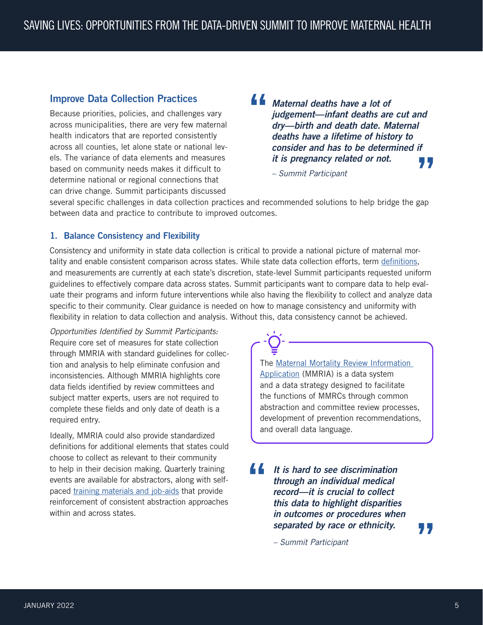## <span id="page-6-0"></span>Improve Data Collection Practices

Because priorities, policies, and challenges vary across municipalities, there are very few maternal health indicators that are reported consistently across all counties, let alone state or national levels. The variance of data elements and measures based on community needs makes it difficult to determine national or regional connections that can drive change. Summit participants discussed

**"** *Maternal deaths have a lot of judgement—infant deaths are cut and dry—birth and death date. Maternal deaths have a lifetime of history to consider and has to be determined if it is pregnancy related or not.*  **"**

*– Summit Participant*

several specific challenges in data collection practices and recommended solutions to help bridge the gap between data and practice to contribute to improved outcomes.

### <span id="page-6-1"></span>1. Balance Consistency and Flexibility

Consistency and uniformity in state data collection is critical to provide a national picture of maternal mortality and enable consistent comparison across states. While state data collection efforts, term [definitions](https://reviewtoaction.org/learn/definitions), and measurements are currently at each state's discretion, state-level Summit participants requested uniform guidelines to effectively compare data across states. Summit participants want to compare data to help evaluate their programs and inform future interventions while also having the flexibility to collect and analyze data specific to their community. Clear guidance is needed on how to manage consistency and uniformity with flexibility in relation to data collection and analysis. Without this, data consistency cannot be achieved.

*Opportunities Identified by Summit Participants:* Require core set of measures for state collection through MMRIA with standard guidelines for collection and analysis to help eliminate confusion and inconsistencies. Although MMRIA highlights core data fields identified by review committees and subject matter experts, users are not required to complete these fields and only date of death is a required entry.

Ideally, MMRIA could also provide standardized definitions for additional elements that states could choose to collect as relevant to their community to help in their decision making. Quarterly training events are available for abstractors, along with selfpaced [training materials and job-aids](http://www.reviewtoaction.org/) that provide reinforcement of consistent abstraction approaches within and across states.

The [Maternal Mortality Review Information](https://www.cdc.gov/reproductivehealth/maternal-mortality/erase-mm/MMRIA.html)  [Application](https://www.cdc.gov/reproductivehealth/maternal-mortality/erase-mm/MMRIA.html) (MMRIA) is a data system and a data strategy designed to facilitate the functions of MMRCs through common abstraction and committee review processes, development of prevention recommendations, and overall data language.

**"** *It is hard to see discrimination through an individual medical record—it is crucial to collect this data to highlight disparities in outcomes or procedures when separated by race or ethnicity.*

*– Summit Participant*

**"**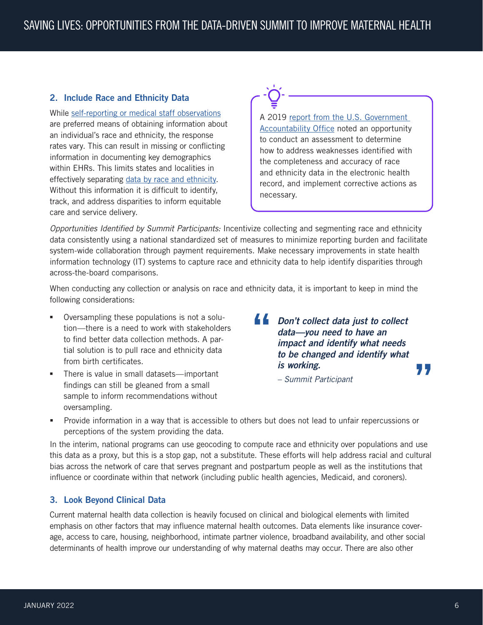### <span id="page-7-1"></span><span id="page-7-0"></span>2. Include Race and Ethnicity Data

While [self-reporting or medical staff observations](https://minorityhealth.hhs.gov/omh/browse.aspx?lvl=3&lvlid=54#1) are preferred means of obtaining information about an individual's race and ethnicity, the response rates vary. This can result in missing or conflicting information in documenting key demographics within EHRs. This limits states and localities in effectively separating [data by race and ethnicity.](https://www.cms.gov/about-cms/agency-information/omh/downloads/data-collection-resources.pdf) Without this information it is difficult to identify, track, and address disparities to inform equitable care and service delivery.

A 2019 [report from the U.S. Government](https://www.gao.gov/products/gao-20-83)  [Accountability Office](https://www.gao.gov/products/gao-20-83) noted an opportunity to conduct an assessment to determine how to address weaknesses identified with the completeness and accuracy of race and ethnicity data in the electronic health record, and implement corrective actions as necessary.

*Opportunities Identified by Summit Participants:* Incentivize collecting and segmenting race and ethnicity data consistently using a national standardized set of measures to minimize reporting burden and facilitate system-wide collaboration through payment requirements. Make necessary improvements in state health information technology (IT) systems to capture race and ethnicity data to help identify disparities through across-the-board comparisons.

When conducting any collection or analysis on race and ethnicity data, it is important to keep in mind the following considerations:

- Oversampling these populations is not a solution—there is a need to work with stakeholders to find better data collection methods. A partial solution is to pull race and ethnicity data from birth certificates.
- There is value in small datasets—important findings can still be gleaned from a small sample to inform recommendations without oversampling.

**" "** *Don't collect data just to collect data—you need to have an impact and identify what needs to be changed and identify what is working.*

*– Summit Participant*

 Provide information in a way that is accessible to others but does not lead to unfair repercussions or perceptions of the system providing the data.

In the interim, national programs can use geocoding to compute race and ethnicity over populations and use this data as a proxy, but this is a stop gap, not a substitute. These efforts will help address racial and cultural bias across the network of care that serves pregnant and postpartum people as well as the institutions that influence or coordinate within that network (including public health agencies, Medicaid, and coroners).

#### <span id="page-7-2"></span>3. Look Beyond Clinical Data

Current maternal health data collection is heavily focused on clinical and biological elements with limited emphasis on other factors that may influence maternal health outcomes. Data elements like insurance coverage, access to care, housing, neighborhood, intimate partner violence, broadband availability, and other social determinants of health improve our understanding of why maternal deaths may occur. There are also other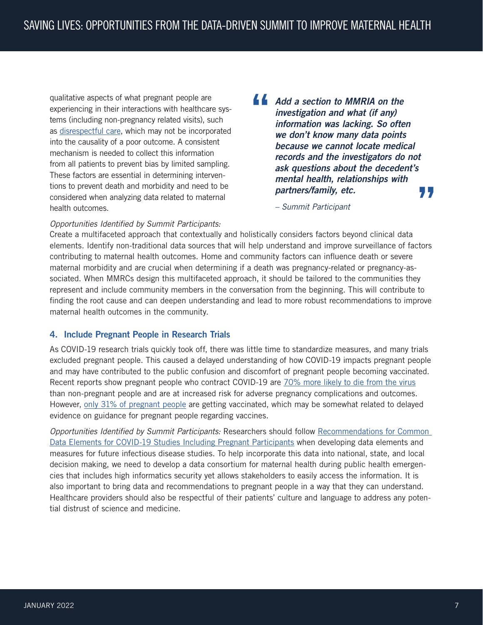<span id="page-8-0"></span>qualitative aspects of what pregnant people are experiencing in their interactions with healthcare systems (including non-pregnancy related visits), such as [disrespectful care,](https://www.publichealth.columbia.edu/sites/default/files/pdf/da_rmc_brief_final_0.pdf) which may not be incorporated into the causality of a poor outcome. A consistent mechanism is needed to collect this information from all patients to prevent bias by limited sampling. These factors are essential in determining interventions to prevent death and morbidity and need to be considered when analyzing data related to maternal health outcomes.

**" "** *Add a section to MMRIA on the investigation and what (if any) information was lacking. So often we don't know many data points because we cannot locate medical records and the investigators do not ask questions about the decedent's mental health, relationships with partners/family, etc.*

*– Summit Participant*

#### *Opportunities Identified by Summit Participants:*

Create a multifaceted approach that contextually and holistically considers factors beyond clinical data elements. Identify non-traditional data sources that will help understand and improve surveillance of factors contributing to maternal health outcomes. Home and community factors can influence death or severe maternal morbidity and are crucial when determining if a death was pregnancy-related or pregnancy-associated. When MMRCs design this multifaceted approach, it should be tailored to the communities they represent and include community members in the conversation from the beginning. This will contribute to finding the root cause and can deepen understanding and lead to more robust recommendations to improve maternal health outcomes in the community.

#### <span id="page-8-1"></span>4. Include Pregnant People in Research Trials

As COVID-19 research trials quickly took off, there was little time to standardize measures, and many trials excluded pregnant people. This caused a delayed understanding of how COVID-19 impacts pregnant people and may have contributed to the public confusion and discomfort of pregnant people becoming vaccinated. Recent reports show pregnant people who contract COVID-19 are [70% more likely to die from the virus](https://emergency.cdc.gov/han/2021/han00453.asp) than non-pregnant people and are at increased risk for adverse pregnancy complications and outcomes. However, [only 31% of pregnant people](https://emergency.cdc.gov/han/2021/han00453.asp) are getting vaccinated, which may be somewhat related to delayed evidence on guidance for pregnant people regarding vaccines.

*Opportunities Identified by Summit Participants:* Researchers should follow [Recommendations for Common](https://tools.niehs.nih.gov/dr2/index.cfm/resource/24206)  [Data Elements for COVID-19 Studies Including Pregnant Participants](https://tools.niehs.nih.gov/dr2/index.cfm/resource/24206) when developing data elements and measures for future infectious disease studies. To help incorporate this data into national, state, and local decision making, we need to develop a data consortium for maternal health during public health emergencies that includes high informatics security yet allows stakeholders to easily access the information. It is also important to bring data and recommendations to pregnant people in a way that they can understand. Healthcare providers should also be respectful of their patients' culture and language to address any potential distrust of science and medicine.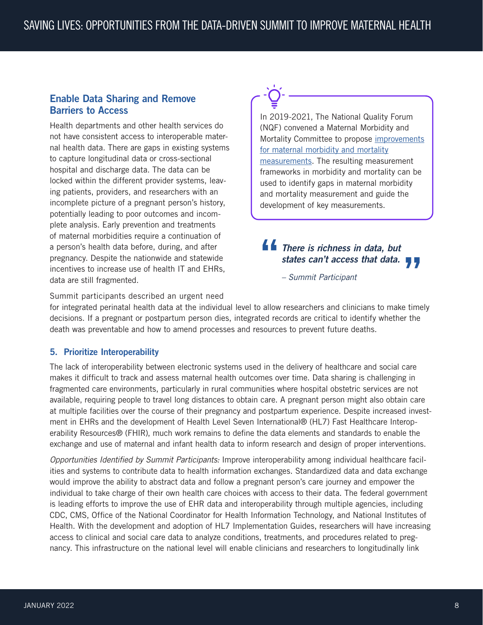# <span id="page-9-0"></span>Enable Data Sharing and Remove Barriers to Access

Health departments and other health services do not have consistent access to interoperable maternal health data. There are gaps in existing systems to capture longitudinal data or cross-sectional hospital and discharge data. The data can be locked within the different provider systems, leaving patients, providers, and researchers with an incomplete picture of a pregnant person's history, potentially leading to poor outcomes and incomplete analysis. Early prevention and treatments of maternal morbidities require a continuation of a person's health data before, during, and after pregnancy. Despite the nationwide and statewide incentives to increase use of health IT and EHRs, data are still fragmented.

In 2019-2021, The National Quality Forum (NQF) convened a Maternal Morbidity and Mortality Committee to propose [improvements](https://www.qualityforum.org/Publications/2021/08/Maternal_Morbidity_and_Mortality_Measurement_Recommendations_Final_Report.aspx) [for maternal morbidity and mortality](https://www.qualityforum.org/Publications/2021/08/Maternal_Morbidity_and_Mortality_Measurement_Recommendations_Final_Report.aspx) [measurements](https://www.qualityforum.org/Publications/2021/08/Maternal_Morbidity_and_Mortality_Measurement_Recommendations_Final_Report.aspx). The resulting measurement frameworks in morbidity and mortality can be used to identify gaps in maternal morbidity and mortality measurement and guide the development of key measurements.

# **"** *There is richness in data, but states can't access that data.*<br> **19.**<br> *- Summit Participant*

*– Summit Participant*

Summit participants described an urgent need

for integrated perinatal health data at the individual level to allow researchers and clinicians to make timely decisions. If a pregnant or postpartum person dies, integrated records are critical to identify whether the death was preventable and how to amend processes and resources to prevent future deaths.

### <span id="page-9-1"></span>5. Prioritize Interoperability

The lack of interoperability between electronic systems used in the delivery of healthcare and social care makes it difficult to track and assess maternal health outcomes over time. Data sharing is challenging in fragmented care environments, particularly in rural communities where hospital obstetric services are not available, requiring people to travel long distances to obtain care. A pregnant person might also obtain care at multiple facilities over the course of their pregnancy and postpartum experience. Despite increased investment in EHRs and the development of Health Level Seven International® (HL7) Fast Healthcare Interoperability Resources® (FHIR), much work remains to define the data elements and standards to enable the exchange and use of maternal and infant health data to inform research and design of proper interventions.

*Opportunities Identified by Summit Participants:* Improve interoperability among individual healthcare facilities and systems to contribute data to health information exchanges. Standardized data and data exchange would improve the ability to abstract data and follow a pregnant person's care journey and empower the individual to take charge of their own health care choices with access to their data. The federal government is leading efforts to improve the use of EHR data and interoperability through multiple agencies, including CDC, CMS, Office of the National Coordinator for Health Information Technology, and National Institutes of Health. With the development and adoption of HL7 Implementation Guides, researchers will have increasing access to clinical and social care data to analyze conditions, treatments, and procedures related to pregnancy. This infrastructure on the national level will enable clinicians and researchers to longitudinally link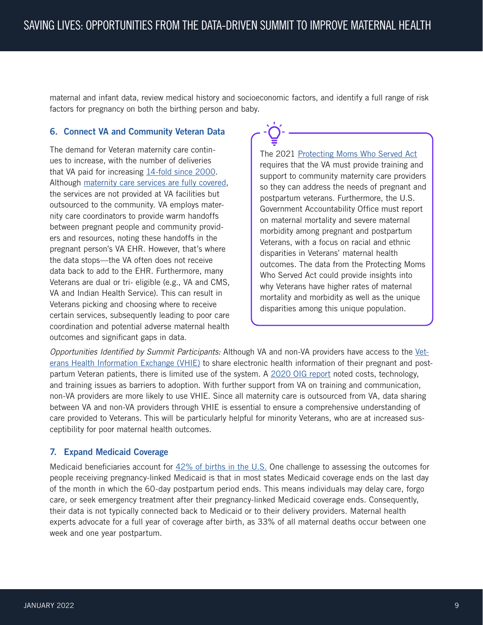<span id="page-10-0"></span>maternal and infant data, review medical history and socioeconomic factors, and identify a full range of risk factors for pregnancy on both the birthing person and baby.

#### <span id="page-10-1"></span>6. Connect VA and Community Veteran Data

The demand for Veteran maternity care continues to increase, with the number of deliveries that VA paid for increasing [14-fold since 2000](https://www.va.gov/HEALTHEQUITY/Women_Veterans_and_Pregnancy_Complications.asp). Although [maternity care services are fully covered,](https://www.womenshealth.va.gov/programoverview/faqs.asp) the services are not provided at VA facilities but outsourced to the community. VA employs maternity care coordinators to provide warm handoffs between pregnant people and community providers and resources, noting these handoffs in the pregnant person's VA EHR. However, that's where the data stops—the VA often does not receive data back to add to the EHR. Furthermore, many Veterans are dual or tri- eligible (e.g., VA and CMS, VA and Indian Health Service). This can result in Veterans picking and choosing where to receive certain services, subsequently leading to poor care coordination and potential adverse maternal health outcomes and significant gaps in data.

The 2021 [Protecting Moms Who Served Act](https://www.congress.gov/bill/117th-congress/senate-bill/796/) requires that the VA must provide training and support to community maternity care providers so they can address the needs of pregnant and postpartum veterans. Furthermore, the U.S. Government Accountability Office must report on maternal mortality and severe maternal morbidity among pregnant and postpartum Veterans, with a focus on racial and ethnic disparities in Veterans' maternal health outcomes. The data from the Protecting Moms Who Served Act could provide insights into why Veterans have higher rates of maternal mortality and morbidity as well as the unique disparities among this unique population.

*Opportunities Identified by Summit Participants:* Although VA and non-VA providers have access to the [Vet](https://www.va.gov/vhie/)[erans Health Information Exchange \(VHIE\)](https://www.va.gov/vhie/) to share electronic health information of their pregnant and postpartum Veteran patients, there is limited use of the system. A [2020 OIG report](https://www.va.gov/oig/pubs/VAOIG-20-01129-220.pdf) noted costs, technology, and training issues as barriers to adoption. With further support from VA on training and communication, non-VA providers are more likely to use VHIE. Since all maternity care is outsourced from VA, data sharing between VA and non-VA providers through VHIE is essential to ensure a comprehensive understanding of care provided to Veterans. This will be particularly helpful for minority Veterans, who are at increased susceptibility for poor maternal health outcomes.

#### <span id="page-10-2"></span>7. Expand Medicaid Coverage

Medicaid beneficiaries account for  $42\%$  of births in the U.S. One challenge to assessing the outcomes for people receiving pregnancy-linked Medicaid is that in most states Medicaid coverage ends on the last day of the month in which the 60-day postpartum period ends. This means individuals may delay care, forgo care, or seek emergency treatment after their pregnancy-linked Medicaid coverage ends. Consequently, their data is not typically connected back to Medicaid or to their delivery providers. Maternal health experts advocate for a full year of coverage after birth, as 33% of all maternal deaths occur between one week and one year postpartum.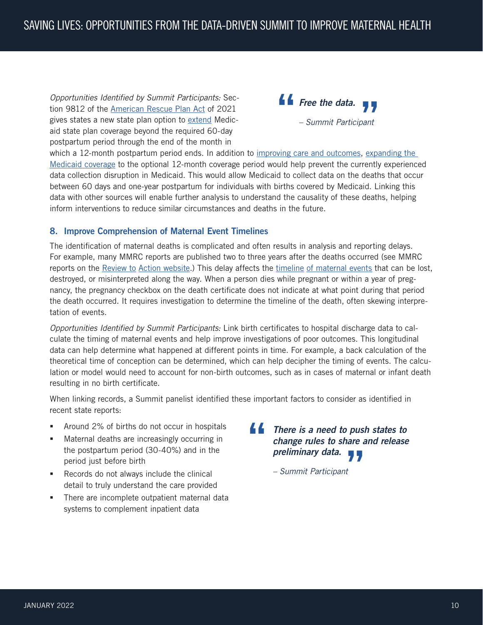<span id="page-11-0"></span>*Opportunities Identified by Summit Participants:* Section 9812 of the [American Rescue Plan Act](https://www.congress.gov/bill/117th-congress/house-bill/1319/text#toc-HD0A062309C1143928EF82EC5845217C3/) of 2021 gives states a new state plan option to [extend](https://www.kff.org/medicaid/issue-brief/medicaid-postpartum-coverage-extension-tracker/) Medicaid state plan coverage beyond the required 60-day postpartum period through the end of the month in



which a 12-month postpartum period ends. In addition to [improving care and outcomes](https://ccf.georgetown.edu/wp-content/uploads/2019/05/Maternal-Health-3a.pdf), expanding the [Medicaid coverage](https://www.acog.org/advocacy/policy-priorities/extend-postpartum-medicaid-coverage) to the optional 12-month coverage period would help prevent the currently experienced data collection disruption in Medicaid. This would allow Medicaid to collect data on the deaths that occur between 60 days and one-year postpartum for individuals with births covered by Medicaid. Linking this data with other sources will enable further analysis to understand the causality of these deaths, helping inform interventions to reduce similar circumstances and deaths in the future.

### <span id="page-11-1"></span>8. Improve Comprehension of Maternal Event Timelines

The identification of maternal deaths is complicated and often results in analysis and reporting delays. For example, many MMRC reports are published two to three years after the deaths occurred (see MMRC reports on the Review to [Action website.](https://reviewtoaction.org/tools/networking-map)) This delay affects the timeline [of maternal events](https://www.whijournal.com/article/S1049-3867(20)30135-3/fulltext) that can be lost, destroyed, or misinterpreted along the way. When a person dies while pregnant or within a year of pregnancy, the pregnancy checkbox on the death certificate does not indicate at what point during that period the death occurred. It requires investigation to determine the timeline of the death, often skewing interpretation of events.

*Opportunities Identified by Summit Participants:* Link birth certificates to hospital discharge data to calculate the timing of maternal events and help improve investigations of poor outcomes. This longitudinal data can help determine what happened at different points in time. For example, a back calculation of the theoretical time of conception can be determined, which can help decipher the timing of events. The calculation or model would need to account for non-birth outcomes, such as in cases of maternal or infant death resulting in no birth certificate.

When linking records, a Summit panelist identified these important factors to consider as identified in recent state reports:

- **Around 2% of births do not occur in hospitals**
- **Maternal deaths are increasingly occurring in** the postpartum period (30-40%) and in the period just before birth
- Records do not always include the clinical detail to truly understand the care provided
- There are incomplete outpatient maternal data systems to complement inpatient data

**"** *There is a need to push states to change rules to share and release preliminary data.* **"**

*– Summit Participant*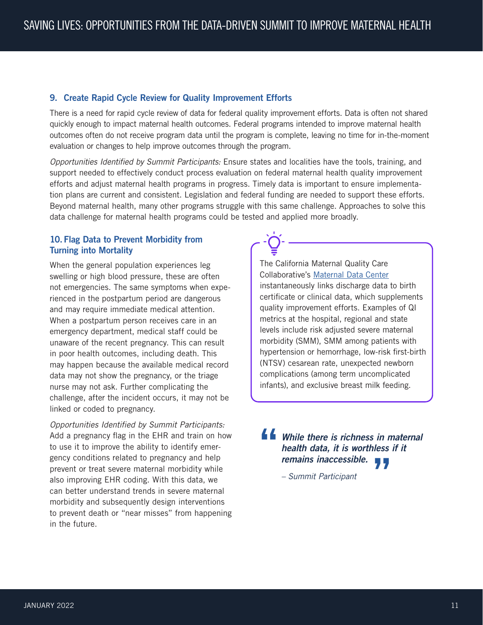#### <span id="page-12-1"></span><span id="page-12-0"></span>9. Create Rapid Cycle Review for Quality Improvement Efforts

There is a need for rapid cycle review of data for federal quality improvement efforts. Data is often not shared quickly enough to impact maternal health outcomes. Federal programs intended to improve maternal health outcomes often do not receive program data until the program is complete, leaving no time for in-the-moment evaluation or changes to help improve outcomes through the program.

*Opportunities Identified by Summit Participants:* Ensure states and localities have the tools, training, and support needed to effectively conduct process evaluation on federal maternal health quality improvement efforts and adjust maternal health programs in progress. Timely data is important to ensure implementation plans are current and consistent. Legislation and federal funding are needed to support these efforts. Beyond maternal health, many other programs struggle with this same challenge. Approaches to solve this data challenge for maternal health programs could be tested and applied more broadly.

#### <span id="page-12-2"></span>10. Flag Data to Prevent Morbidity from Turning into Mortality

When the general population experiences leg swelling or high blood pressure, these are often not emergencies. The same symptoms when experienced in the postpartum period are dangerous and may require immediate medical attention. When a postpartum person receives care in an emergency department, medical staff could be unaware of the recent pregnancy. This can result in poor health outcomes, including death. This may happen because the available medical record data may not show the pregnancy, or the triage nurse may not ask. Further complicating the challenge, after the incident occurs, it may not be linked or coded to pregnancy.

*Opportunities Identified by Summit Participants:*  Add a pregnancy flag in the EHR and train on how to use it to improve the ability to identify emergency conditions related to pregnancy and help prevent or treat severe maternal morbidity while also improving EHR coding. With this data, we can better understand trends in severe maternal morbidity and subsequently design interventions to prevent death or "near misses" from happening in the future.

The California Maternal Quality Care Collaborative's [Maternal Data Center](https://www.cmqcc.org/maternal-data-center) instantaneously links discharge data to birth certificate or clinical data, which supplements quality improvement efforts. Examples of QI metrics at the hospital, regional and state levels include risk adjusted severe maternal morbidity (SMM), SMM among patients with hypertension or hemorrhage, low-risk first-birth (NTSV) cesarean rate, unexpected newborn complications (among term uncomplicated infants), and exclusive breast milk feeding.

**"** *While there is richness in maternal health data, it is worthless if it remains inaccessible.* **"**

*– Summit Participant*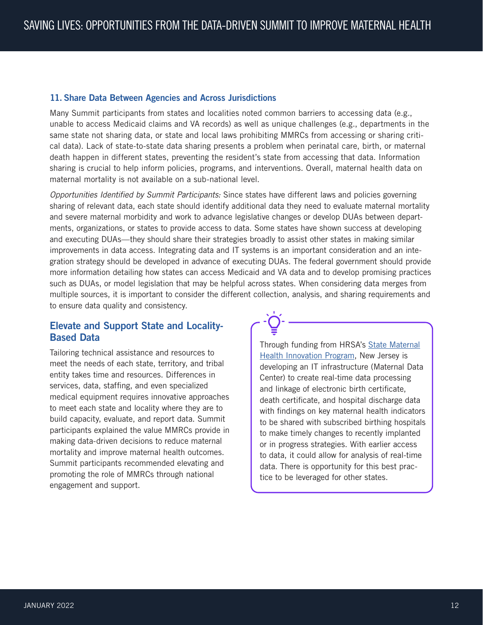#### <span id="page-13-1"></span><span id="page-13-0"></span>11. Share Data Between Agencies and Across Jurisdictions

Many Summit participants from states and localities noted common barriers to accessing data (e.g., unable to access Medicaid claims and VA records) as well as unique challenges (e.g., departments in the same state not sharing data, or state and local laws prohibiting MMRCs from accessing or sharing critical data). Lack of state-to-state data sharing presents a problem when perinatal care, birth, or maternal death happen in different states, preventing the resident's state from accessing that data. Information sharing is crucial to help inform policies, programs, and interventions. Overall, maternal health data on maternal mortality is not available on a sub-national level.

*Opportunities Identified by Summit Participants:* Since states have different laws and policies governing sharing of relevant data, each state should identify additional data they need to evaluate maternal mortality and severe maternal morbidity and work to advance legislative changes or develop DUAs between departments, organizations, or states to provide access to data. Some states have shown success at developing and executing DUAs—they should share their strategies broadly to assist other states in making similar improvements in data access. Integrating data and IT systems is an important consideration and an integration strategy should be developed in advance of executing DUAs. The federal government should provide more information detailing how states can access Medicaid and VA data and to develop promising practices such as DUAs, or model legislation that may be helpful across states. When considering data merges from multiple sources, it is important to consider the different collection, analysis, and sharing requirements and to ensure data quality and consistency.

# Elevate and Support State and Locality-Based Data

Tailoring technical assistance and resources to meet the needs of each state, territory, and tribal entity takes time and resources. Differences in services, data, staffing, and even specialized medical equipment requires innovative approaches to meet each state and locality where they are to build capacity, evaluate, and report data. Summit participants explained the value MMRCs provide in making data-driven decisions to reduce maternal mortality and improve maternal health outcomes. Summit participants recommended elevating and promoting the role of MMRCs through national engagement and support.

Through funding from HRSA's [State Maternal](https://www.hrsa.gov/grants/find-funding/hrsa-19-107) [Health Innovation Program](https://www.hrsa.gov/grants/find-funding/hrsa-19-107), New Jersey is developing an IT infrastructure (Maternal Data Center) to create real-time data processing and linkage of electronic birth certificate, death certificate, and hospital discharge data with findings on key maternal health indicators to be shared with subscribed birthing hospitals to make timely changes to recently implanted or in progress strategies. With earlier access to data, it could allow for analysis of real-time data. There is opportunity for this best practice to be leveraged for other states.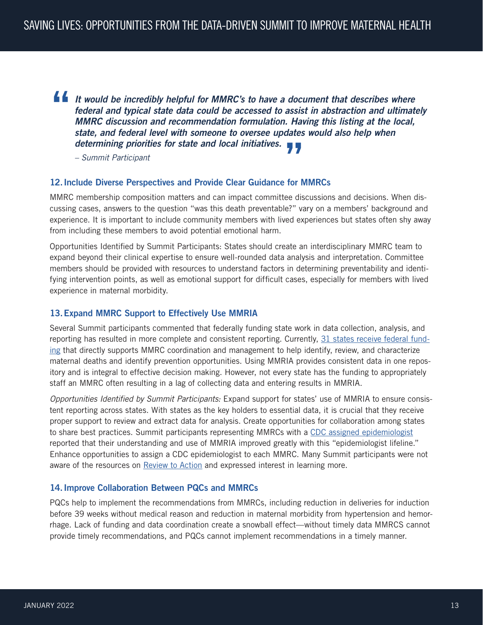<span id="page-14-0"></span>**"** *It would be incredibly helpful for MMRC's to have a document that describes where federal and typical state data could be accessed to assist in abstraction and ultimately MMRC discussion and recommendation formulation. Having this listing at the local, state, and federal level with someone to oversee updates would also help when determining priorities for state and local initiatives.* **"**

*– Summit Participant*

#### <span id="page-14-1"></span>12.Include Diverse Perspectives and Provide Clear Guidance for MMRCs

MMRC membership composition matters and can impact committee discussions and decisions. When discussing cases, answers to the question "was this death preventable?" vary on a members' background and experience. It is important to include community members with lived experiences but states often shy away from including these members to avoid potential emotional harm.

Opportunities Identified by Summit Participants: States should create an interdisciplinary MMRC team to expand beyond their clinical expertise to ensure well-rounded data analysis and interpretation. Committee members should be provided with resources to understand factors in determining preventability and identifying intervention points, as well as emotional support for difficult cases, especially for members with lived experience in maternal morbidity.

#### <span id="page-14-2"></span>13.Expand MMRC Support to Effectively Use MMRIA

Several Summit participants commented that federally funding state work in data collection, analysis, and reporting has resulted in more complete and consistent reporting. Currently, [31 states receive federal fund](https://www.cdc.gov/reproductivehealth/maternal-mortality/erase-mm/index.html)[ing](https://www.cdc.gov/reproductivehealth/maternal-mortality/erase-mm/index.html) that directly supports MMRC coordination and management to help identify, review, and characterize maternal deaths and identify prevention opportunities. Using MMRIA provides consistent data in one repository and is integral to effective decision making. However, not every state has the funding to appropriately staff an MMRC often resulting in a lag of collecting data and entering results in MMRIA.

*Opportunities Identified by Summit Participants:* Expand support for states' use of MMRIA to ensure consistent reporting across states. With states as the key holders to essential data, it is crucial that they receive proper support to review and extract data for analysis. Create opportunities for collaboration among states to share best practices. Summit participants representing MMRCs with a [CDC assigned epidemiologist](https://www.cdc.gov/reproductivehealth/mchepi/assignees.htm) reported that their understanding and use of MMRIA improved greatly with this "epidemiologist lifeline." Enhance opportunities to assign a CDC epidemiologist to each MMRC. Many Summit participants were not aware of the resources on [Review to Action](https://reviewtoaction.org/about-us) and expressed interest in learning more.

#### <span id="page-14-3"></span>14.Improve Collaboration Between PQCs and MMRCs

PQCs help to implement the recommendations from MMRCs, including reduction in deliveries for induction before 39 weeks without medical reason and reduction in maternal morbidity from hypertension and hemorrhage. Lack of funding and data coordination create a snowball effect—without timely data MMRCS cannot provide timely recommendations, and PQCs cannot implement recommendations in a timely manner.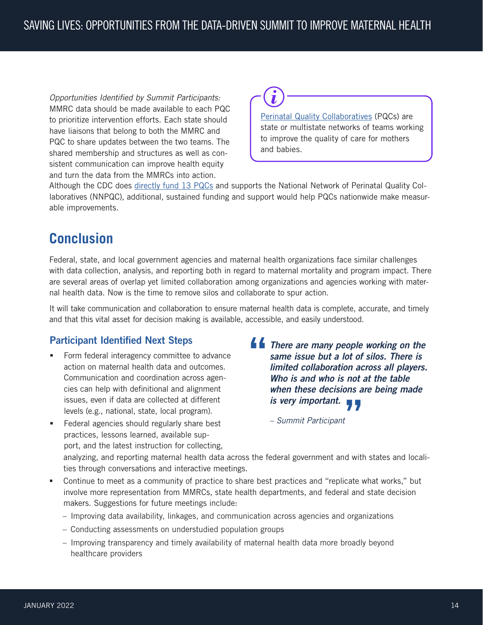<span id="page-15-0"></span>*Opportunities Identified by Summit Participants:* MMRC data should be made available to each PQC to prioritize intervention efforts. Each state should have liaisons that belong to both the MMRC and PQC to share updates between the two teams. The shared membership and structures as well as consistent communication can improve health equity and turn the data from the MMRCs into action.



[Perinatal Quality Collaboratives](https://www.cdc.gov/reproductivehealth/maternalinfanthealth/pqc.htm) (PQCs) are state or multistate networks of teams working to improve the quality of care for mothers and babies.

Although the CDC does [directly fund 13 PQCs](https://www.cdc.gov/reproductivehealth/pdfs/maternal-infant-health/perinatal-quality-collaboratives-PQCs.pdf) and supports the National Network of Perinatal Quality Collaboratives (NNPQC), additional, sustained funding and support would help PQCs nationwide make measurable improvements.

# **Conclusion**

Federal, state, and local government agencies and maternal health organizations face similar challenges with data collection, analysis, and reporting both in regard to maternal mortality and program impact. There are several areas of overlap yet limited collaboration among organizations and agencies working with maternal health data. Now is the time to remove silos and collaborate to spur action.

It will take communication and collaboration to ensure maternal health data is complete, accurate, and timely and that this vital asset for decision making is available, accessible, and easily understood.

# Participant Identified Next Steps

- **Form federal interagency committee to advance** action on maternal health data and outcomes. Communication and coordination across agencies can help with definitional and alignment issues, even if data are collected at different levels (e.g., national, state, local program).
- **Federal agencies should regularly share best** practices, lessons learned, available support, and the latest instruction for collecting,
- **"** *There are many people working on the same issue but a lot of silos. There is limited collaboration across all players. Who is and who is not at the table when these decisions are being made is very important.* **"**

*– Summit Participant*

analyzing, and reporting maternal health data across the federal government and with states and localities through conversations and interactive meetings.

- Continue to meet as a community of practice to share best practices and "replicate what works," but involve more representation from MMRCs, state health departments, and federal and state decision makers. Suggestions for future meetings include:
	- Improving data availability, linkages, and communication across agencies and organizations
	- Conducting assessments on understudied population groups
	- Improving transparency and timely availability of maternal health data more broadly beyond healthcare providers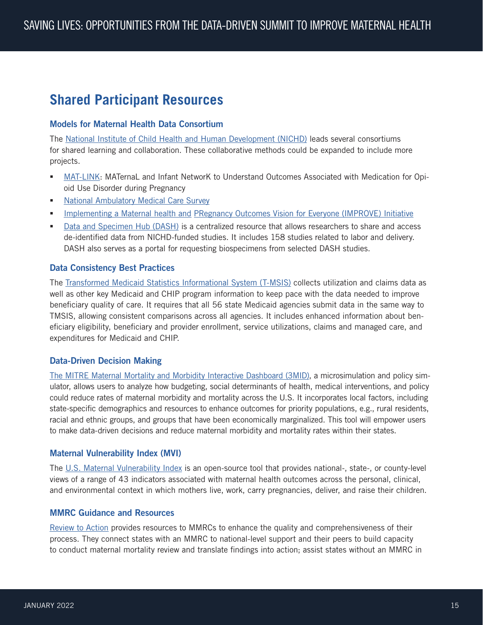# <span id="page-16-0"></span>**Shared Participant Resources**

#### Models for Maternal Health Data Consortium

The [National Institute of Child Health and Human Development \(NICHD\)](https://www.nichd.nih.gov/) leads several consortiums for shared learning and collaboration. These collaborative methods could be expanded to include more projects.

- [MAT-LINK:](https://www.cdc.gov/ncbddd/aboutus/mat-link.html) MATernaL and Infant NetworK to Understand Outcomes Associated with Medication for Opioid Use Disorder during Pregnancy
- **[National Ambulatory Medical Care Survey](https://www.cdc.gov/nchs/ahcd/about_ahcd.htm)**
- **Implementing a Maternal health and [PRegnancy Outcomes Vision for Everyone \(IMPROVE\) Initiative](https://www.nichd.nih.gov/research/supported/IMPROVE)**
- [Data and Specimen Hub \(DASH\)](https://dash.nichd.nih.gov/) is a centralized resource that allows researchers to share and access de-identified data from NICHD-funded studies. It includes 158 studies related to labor and delivery. DASH also serves as a portal for requesting biospecimens from selected DASH studies.

#### Data Consistency Best Practices

The [Transformed Medicaid Statistics Informational System \(T-MSIS\)](https://www.medicaid.gov/medicaid/data-systems/macbis/transformed-medicaid-statistical-information-system-t-msis/index.html) collects utilization and claims data as well as other key Medicaid and CHIP program information to keep pace with the data needed to improve beneficiary quality of care. It requires that all 56 state Medicaid agencies submit data in the same way to TMSIS, allowing consistent comparisons across all agencies. It includes enhanced information about beneficiary eligibility, beneficiary and provider enrollment, service utilizations, claims and managed care, and expenditures for Medicaid and CHIP.

#### Data-Driven Decision Making

[The MITRE Maternal Mortality and Morbidity Interactive Dashboard \(3MID\),](https://sjp.mitre.org/insights/614a0763e4a5c1001a2deb95) a microsimulation and policy simulator, allows users to analyze how budgeting, social determinants of health, medical interventions, and policy could reduce rates of maternal morbidity and mortality across the U.S. It incorporates local factors, including state-specific demographics and resources to enhance outcomes for priority populations, e.g., rural residents, racial and ethnic groups, and groups that have been economically marginalized. This tool will empower users to make data-driven decisions and reduce maternal morbidity and mortality rates within their states.

#### Maternal Vulnerability Index (MVI)

The [U.S. Maternal Vulnerability Index](https://mvi.surgoventures.org/) is an open-source tool that provides national-, state-, or county-level views of a range of 43 indicators associated with maternal health outcomes across the personal, clinical, and environmental context in which mothers live, work, carry pregnancies, deliver, and raise their children.

#### MMRC Guidance and Resources

[Review to Action](https://reviewtoaction.org/about-us) provides resources to MMRCs to enhance the quality and comprehensiveness of their process. They connect states with an MMRC to national-level support and their peers to build capacity to conduct maternal mortality review and translate findings into action; assist states without an MMRC in